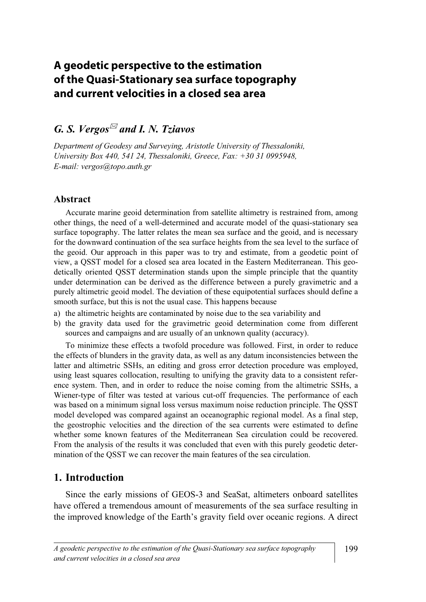# **A geodetic perspective to the estimation of the Quasi-Stationary sea surface topography and current velocities in a closed sea area**

## G. S. Vergos<sup> $\mathbb{Z}$ </sup> and I. N. Tziavos

Department of Geodesy and Surveying, Aristotle University of Thessaloniki, University Box 440, 541 24, Thessaloniki, Greece, Fax: +30 31 0995948, E-mail: vergos@topo.auth.gr

#### Abstract

Accurate marine geoid determination from satellite altimetry is restrained from, among other things, the need of a well-determined and accurate model of the quasi-stationary sea surface topography. The latter relates the mean sea surface and the geoid, and is necessary for the downward continuation of the sea surface heights from the sea level to the surface of the geoid. Our approach in this paper was to try and estimate, from a geodetic point of view, a QSST model for a closed sea area located in the Eastern Mediterranean. This geodetically oriented QSST determination stands upon the simple principle that the quantity under determination can be derived as the difference between a purely gravimetric and a purely altimetric geoid model. The deviation of these equipotential surfaces should define a smooth surface, but this is not the usual case. This happens because

- a) the altimetric heights are contaminated by noise due to the sea variability and
- b) the gravity data used for the gravimetric geoid determination come from different sources and campaigns and are usually of an unknown quality (accuracy).

 To minimize these effects a twofold procedure was followed. First, in order to reduce the effects of blunders in the gravity data, as well as any datum inconsistencies between the latter and altimetric SSHs, an editing and gross error detection procedure was employed, using least squares collocation, resulting to unifying the gravity data to a consistent reference system. Then, and in order to reduce the noise coming from the altimetric SSHs, a Wiener-type of filter was tested at various cut-off frequencies. The performance of each was based on a minimum signal loss versus maximum noise reduction principle. The QSST model developed was compared against an oceanographic regional model. As a final step, the geostrophic velocities and the direction of the sea currents were estimated to define whether some known features of the Mediterranean Sea circulation could be recovered. From the analysis of the results it was concluded that even with this purely geodetic determination of the QSST we can recover the main features of the sea circulation.

### 1. Introduction

 Since the early missions of GEOS-3 and SeaSat, altimeters onboard satellites have offered a tremendous amount of measurements of the sea surface resulting in the improved knowledge of the Earth's gravity field over oceanic regions. A direct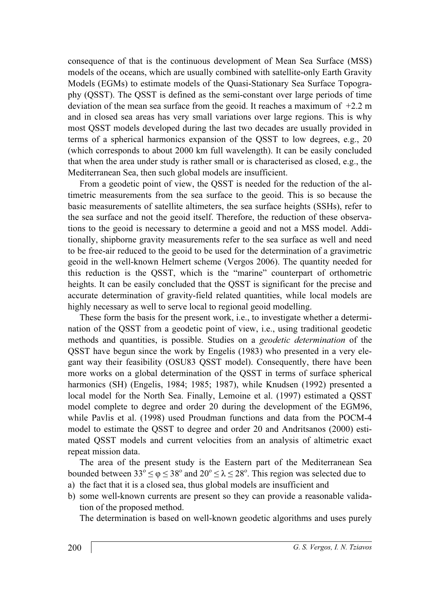consequence of that is the continuous development of Mean Sea Surface (MSS) models of the oceans, which are usually combined with satellite-only Earth Gravity Models (EGMs) to estimate models of the Quasi-Stationary Sea Surface Topography (QSST). The QSST is defined as the semi-constant over large periods of time deviation of the mean sea surface from the geoid. It reaches a maximum of +2.2 m and in closed sea areas has very small variations over large regions. This is why most QSST models developed during the last two decades are usually provided in terms of a spherical harmonics expansion of the QSST to low degrees, e.g., 20 (which corresponds to about 2000 km full wavelength). It can be easily concluded that when the area under study is rather small or is characterised as closed, e.g., the Mediterranean Sea, then such global models are insufficient.

 From a geodetic point of view, the QSST is needed for the reduction of the altimetric measurements from the sea surface to the geoid. This is so because the basic measurements of satellite altimeters, the sea surface heights (SSHs), refer to the sea surface and not the geoid itself. Therefore, the reduction of these observations to the geoid is necessary to determine a geoid and not a MSS model. Additionally, shipborne gravity measurements refer to the sea surface as well and need to be free-air reduced to the geoid to be used for the determination of a gravimetric geoid in the well-known Helmert scheme (Vergos 2006). The quantity needed for this reduction is the QSST, which is the "marine" counterpart of orthometric heights. It can be easily concluded that the QSST is significant for the precise and accurate determination of gravity-field related quantities, while local models are highly necessary as well to serve local to regional geoid modelling.

 These form the basis for the present work, i.e., to investigate whether a determination of the QSST from a geodetic point of view, i.e., using traditional geodetic methods and quantities, is possible. Studies on a geodetic determination of the QSST have begun since the work by Engelis (1983) who presented in a very elegant way their feasibility (OSU83 QSST model). Consequently, there have been more works on a global determination of the QSST in terms of surface spherical harmonics (SH) (Engelis, 1984; 1985; 1987), while Knudsen (1992) presented a local model for the North Sea. Finally, Lemoine et al. (1997) estimated a QSST model complete to degree and order 20 during the development of the EGM96, while Pavlis et al. (1998) used Proudman functions and data from the POCM-4 model to estimate the QSST to degree and order 20 and Andritsanos (2000) estimated QSST models and current velocities from an analysis of altimetric exact repeat mission data.

 The area of the present study is the Eastern part of the Mediterranean Sea bounded between  $33^{\circ} \le \varphi \le 38^{\circ}$  and  $20^{\circ} \le \lambda \le 28^{\circ}$ . This region was selected due to

- a) the fact that it is a closed sea, thus global models are insufficient and
- b) some well-known currents are present so they can provide a reasonable validation of the proposed method.

The determination is based on well-known geodetic algorithms and uses purely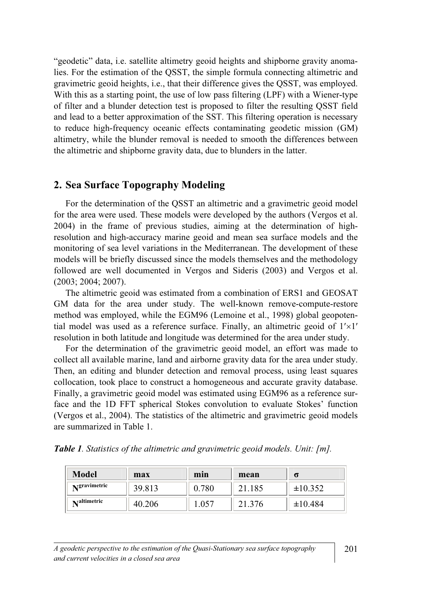"geodetic" data, i.e. satellite altimetry geoid heights and shipborne gravity anomalies. For the estimation of the QSST, the simple formula connecting altimetric and gravimetric geoid heights, i.e., that their difference gives the QSST, was employed. With this as a starting point, the use of low pass filtering (LPF) with a Wiener-type of filter and a blunder detection test is proposed to filter the resulting QSST field and lead to a better approximation of the SST. This filtering operation is necessary to reduce high-frequency oceanic effects contaminating geodetic mission (GM) altimetry, while the blunder removal is needed to smooth the differences between the altimetric and shipborne gravity data, due to blunders in the latter.

#### 2. Sea Surface Topography Modeling

 For the determination of the QSST an altimetric and a gravimetric geoid model for the area were used. These models were developed by the authors (Vergos et al. 2004) in the frame of previous studies, aiming at the determination of highresolution and high-accuracy marine geoid and mean sea surface models and the monitoring of sea level variations in the Mediterranean. The development of these models will be briefly discussed since the models themselves and the methodology followed are well documented in Vergos and Sideris (2003) and Vergos et al. (2003; 2004; 2007).

 The altimetric geoid was estimated from a combination of ERS1 and GEOSAT GM data for the area under study. The well-known remove-compute-restore method was employed, while the EGM96 (Lemoine et al., 1998) global geopotential model was used as a reference surface. Finally, an altimetric geoid of 1′×1′ resolution in both latitude and longitude was determined for the area under study.

 For the determination of the gravimetric geoid model, an effort was made to collect all available marine, land and airborne gravity data for the area under study. Then, an editing and blunder detection and removal process, using least squares collocation, took place to construct a homogeneous and accurate gravity database. Finally, a gravimetric geoid model was estimated using EGM96 as a reference surface and the 1D FFT spherical Stokes convolution to evaluate Stokes' function (Vergos et al., 2004). The statistics of the altimetric and gravimetric geoid models are summarized in Table 1.

Table 1. Statistics of the altimetric and gravimetric geoid models. Unit: [m].

| <b>Model</b>       | max    | min   | mean   | σ            |
|--------------------|--------|-------|--------|--------------|
| Ngravimetric       | 39.813 | 0.780 | .185   | $\pm 10.352$ |
| <b>Naltimetric</b> | 40.206 | .057  | 21.376 | ±10.484      |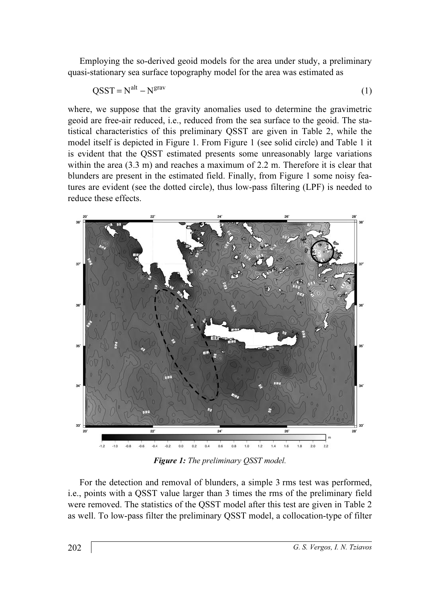Employing the so-derived geoid models for the area under study, a preliminary quasi-stationary sea surface topography model for the area was estimated as

$$
QSST = Nalt - Ngrav
$$
 (1)

where, we suppose that the gravity anomalies used to determine the gravimetric geoid are free-air reduced, i.e., reduced from the sea surface to the geoid. The statistical characteristics of this preliminary QSST are given in Table 2, while the model itself is depicted in Figure 1. From Figure 1 (see solid circle) and Table 1 it is evident that the QSST estimated presents some unreasonably large variations within the area  $(3.3 \text{ m})$  and reaches a maximum of 2.2 m. Therefore it is clear that blunders are present in the estimated field. Finally, from Figure 1 some noisy features are evident (see the dotted circle), thus low-pass filtering (LPF) is needed to reduce these effects.



Figure 1: The preliminary QSST model.

 For the detection and removal of blunders, a simple 3 rms test was performed, i.e., points with a QSST value larger than 3 times the rms of the preliminary field were removed. The statistics of the QSST model after this test are given in Table 2 as well. To low-pass filter the preliminary QSST model, a collocation-type of filter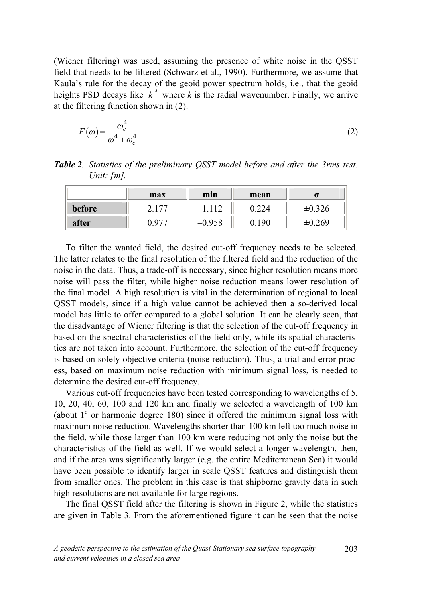(Wiener filtering) was used, assuming the presence of white noise in the QSST field that needs to be filtered (Schwarz et al., 1990). Furthermore, we assume that Kaula's rule for the decay of the geoid power spectrum holds, i.e., that the geoid heights PSD decays like  $k^4$  where k is the radial wavenumber. Finally, we arrive at the filtering function shown in (2).

$$
F(\omega) = \frac{\omega_c^4}{\omega^4 + \omega_c^4}
$$
 (2)

Table 2. Statistics of the preliminary QSST model before and after the 3rms test. Unit:  $\lfloor m \rfloor$ .

|        | max        | min      | mean |     |
|--------|------------|----------|------|-----|
| before | $-77$<br>⌒ | 110<br>_ |      | 326 |
| after  | 077        | 05 O     | Ωſ   | 269 |

 To filter the wanted field, the desired cut-off frequency needs to be selected. The latter relates to the final resolution of the filtered field and the reduction of the noise in the data. Thus, a trade-off is necessary, since higher resolution means more noise will pass the filter, while higher noise reduction means lower resolution of the final model. A high resolution is vital in the determination of regional to local QSST models, since if a high value cannot be achieved then a so-derived local model has little to offer compared to a global solution. It can be clearly seen, that the disadvantage of Wiener filtering is that the selection of the cut-off frequency in based on the spectral characteristics of the field only, while its spatial characteristics are not taken into account. Furthermore, the selection of the cut-off frequency is based on solely objective criteria (noise reduction). Thus, a trial and error process, based on maximum noise reduction with minimum signal loss, is needed to determine the desired cut-off frequency.

 Various cut-off frequencies have been tested corresponding to wavelengths of 5, 10, 20, 40, 60, 100 and 120 km and finally we selected a wavelength of 100 km (about  $1^\circ$  or harmonic degree 180) since it offered the minimum signal loss with maximum noise reduction. Wavelengths shorter than 100 km left too much noise in the field, while those larger than 100 km were reducing not only the noise but the characteristics of the field as well. If we would select a longer wavelength, then, and if the area was significantly larger (e.g. the entire Mediterranean Sea) it would have been possible to identify larger in scale QSST features and distinguish them from smaller ones. The problem in this case is that shipborne gravity data in such high resolutions are not available for large regions.

 The final QSST field after the filtering is shown in Figure 2, while the statistics are given in Table 3. From the aforementioned figure it can be seen that the noise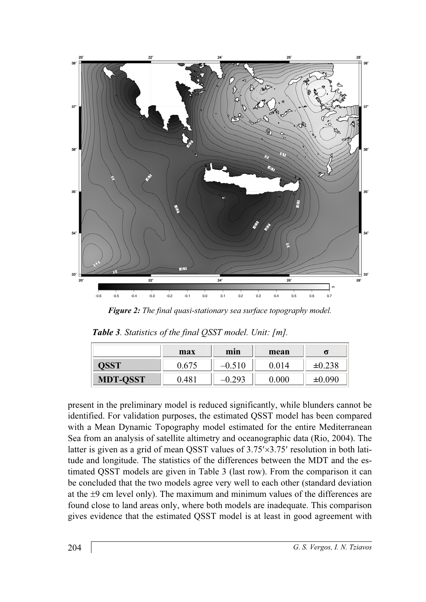

Figure 2: The final quasi-stationary sea surface topography model.

|  | Table 3. Statistics of the final QSST model. Unit: [m]. |  |
|--|---------------------------------------------------------|--|
|--|---------------------------------------------------------|--|

|                 | max   | min      | mean  | σ      |
|-----------------|-------|----------|-------|--------|
| QSST            | 0.675 | $-0.510$ | 0.014 | ±0.238 |
| <b>MDT-QSST</b> | 0.481 | $-0.293$ | 0.000 | ±0.090 |

present in the preliminary model is reduced significantly, while blunders cannot be identified. For validation purposes, the estimated QSST model has been compared with a Mean Dynamic Topography model estimated for the entire Mediterranean Sea from an analysis of satellite altimetry and oceanographic data (Rio, 2004). The latter is given as a grid of mean QSST values of 3.75′×3.75′ resolution in both latitude and longitude. The statistics of the differences between the MDT and the estimated QSST models are given in Table 3 (last row). From the comparison it can be concluded that the two models agree very well to each other (standard deviation at the  $\pm 9$  cm level only). The maximum and minimum values of the differences are found close to land areas only, where both models are inadequate. This comparison gives evidence that the estimated QSST model is at least in good agreement with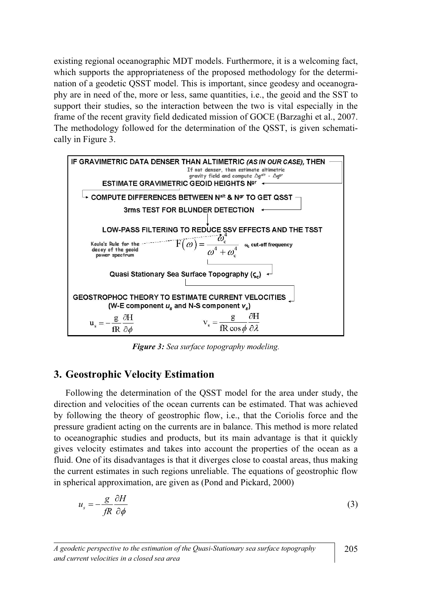existing regional oceanographic MDT models. Furthermore, it is a welcoming fact, which supports the appropriateness of the proposed methodology for the determination of a geodetic QSST model. This is important, since geodesy and oceanography are in need of the, more or less, same quantities, i.e., the geoid and the SST to support their studies, so the interaction between the two is vital especially in the frame of the recent gravity field dedicated mission of GOCE (Barzaghi et al., 2007. The methodology followed for the determination of the QSST, is given schematically in Figure 3.



Figure 3: Sea surface topography modeling.

## 3. Geostrophic Velocity Estimation

 Following the determination of the QSST model for the area under study, the direction and velocities of the ocean currents can be estimated. That was achieved by following the theory of geostrophic flow, i.e., that the Coriolis force and the pressure gradient acting on the currents are in balance. This method is more related to oceanographic studies and products, but its main advantage is that it quickly gives velocity estimates and takes into account the properties of the ocean as a fluid. One of its disadvantages is that it diverges close to coastal areas, thus making the current estimates in such regions unreliable. The equations of geostrophic flow in spherical approximation, are given as (Pond and Pickard, 2000)

$$
u_s = -\frac{g}{fR} \frac{\partial H}{\partial \phi} \tag{3}
$$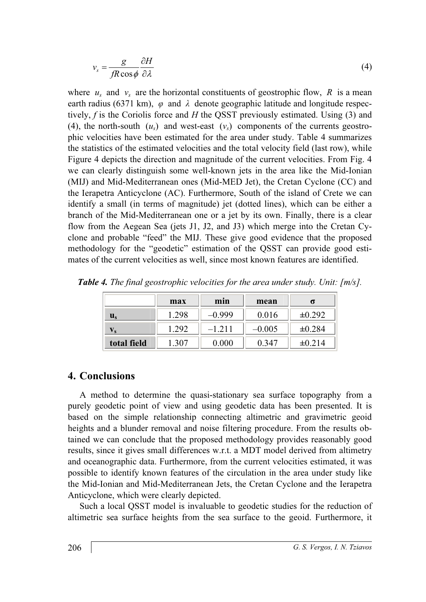$$
v_s = \frac{g}{fR\cos\phi} \frac{\partial H}{\partial \lambda} \tag{4}
$$

where  $u_s$  and  $v_s$  are the horizontal constituents of geostrophic flow, R is a mean earth radius (6371 km),  $\varphi$  and  $\lambda$  denote geographic latitude and longitude respectively,  $f$  is the Coriolis force and  $H$  the QSST previously estimated. Using (3) and (4), the north-south  $(u_s)$  and west-east  $(v_s)$  components of the currents geostrophic velocities have been estimated for the area under study. Table 4 summarizes the statistics of the estimated velocities and the total velocity field (last row), while Figure 4 depicts the direction and magnitude of the current velocities. From Fig. 4 we can clearly distinguish some well-known jets in the area like the Mid-Ionian (MIJ) and Mid-Mediterranean ones (Mid-MED Jet), the Cretan Cyclone (CC) and the Ierapetra Anticyclone (AC). Furthermore, South of the island of Crete we can identify a small (in terms of magnitude) jet (dotted lines), which can be either a branch of the Mid-Mediterranean one or a jet by its own. Finally, there is a clear flow from the Aegean Sea (jets J1, J2, and J3) which merge into the Cretan Cyclone and probable "feed" the MIJ. These give good evidence that the proposed methodology for the "geodetic" estimation of the QSST can provide good estimates of the current velocities as well, since most known features are identified.

|             | max   | min      | mean     |             |
|-------------|-------|----------|----------|-------------|
| U,          | 1.298 | –0.999   | 0.016    | $\pm 0.292$ |
| V s         | 1.292 | $-1.211$ | $-0.005$ | $\pm 0.284$ |
| total field | 1.307 | 0.000    | 0.347    | $\pm 0.214$ |

Table 4. The final geostrophic velocities for the area under study. Unit: [m/s].

## 4. Conclusions

 A method to determine the quasi-stationary sea surface topography from a purely geodetic point of view and using geodetic data has been presented. It is based on the simple relationship connecting altimetric and gravimetric geoid heights and a blunder removal and noise filtering procedure. From the results obtained we can conclude that the proposed methodology provides reasonably good results, since it gives small differences w.r.t. a MDT model derived from altimetry and oceanographic data. Furthermore, from the current velocities estimated, it was possible to identify known features of the circulation in the area under study like the Mid-Ionian and Mid-Mediterranean Jets, the Cretan Cyclone and the Ierapetra Anticyclone, which were clearly depicted.

 Such a local QSST model is invaluable to geodetic studies for the reduction of altimetric sea surface heights from the sea surface to the geoid. Furthermore, it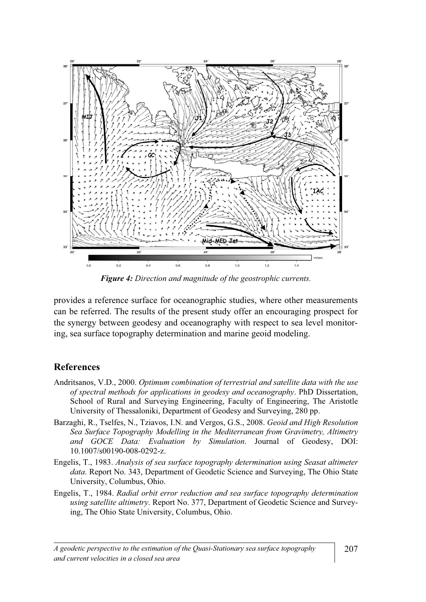

Figure 4: Direction and magnitude of the geostrophic currents.

provides a reference surface for oceanographic studies, where other measurements can be referred. The results of the present study offer an encouraging prospect for the synergy between geodesy and oceanography with respect to sea level monitoring, sea surface topography determination and marine geoid modeling.

#### **References**

- Andritsanos, V.D., 2000. Optimum combination of terrestrial and satellite data with the use of spectral methods for applications in geodesy and oceanography. PhD Dissertation, School of Rural and Surveying Engineering, Faculty of Engineering, The Aristotle University of Thessaloniki, Department of Geodesy and Surveying, 280 pp.
- Barzaghi, R., Tselfes, N., Tziavos, I.N. and Vergos, G.S., 2008. Geoid and High Resolution Sea Surface Topography Modelling in the Mediterranean from Gravimetry, Altimetry and GOCE Data: Evaluation by Simulation. Journal of Geodesy, DOI: 10.1007/s00190-008-0292-z.
- Engelis, T., 1983. Analysis of sea surface topography determination using Seasat altimeter data. Report No. 343, Department of Geodetic Science and Surveying, The Ohio State University, Columbus, Ohio.
- Engelis, T., 1984. Radial orbit error reduction and sea surface topography determination using satellite altimetry. Report No. 377, Department of Geodetic Science and Surveying, The Ohio State University, Columbus, Ohio.